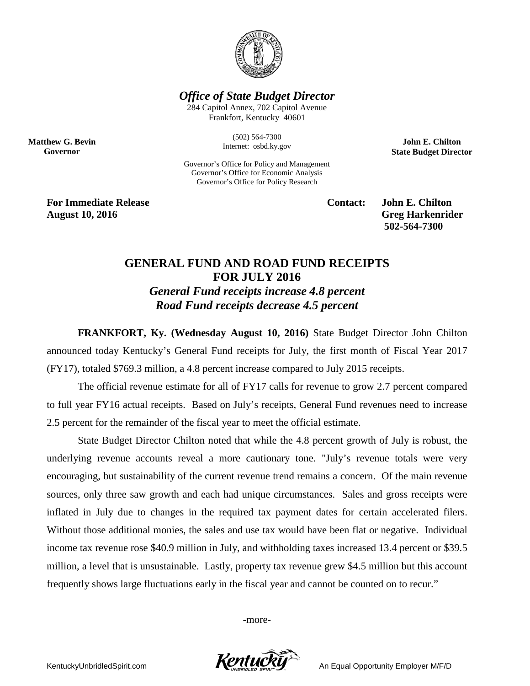

*Office of State Budget Director*

284 Capitol Annex, 702 Capitol Avenue Frankfort, Kentucky 40601

> (502) 564-7300 Internet: osbd.ky.gov

Governor's Office for Policy and Management Governor's Office for Economic Analysis Governor's Office for Policy Research

**John E. Chilton State Budget Director**

**For Immediate Release Contact: John E. Chilton August 10, 2016** Greg Harkenrider

**Matthew G. Bevin Governor**

**502-564-7300** 

## **GENERAL FUND AND ROAD FUND RECEIPTS FOR JULY 2016** *General Fund receipts increase 4.8 percent Road Fund receipts decrease 4.5 percent*

**FRANKFORT, Ky. (Wednesday August 10, 2016)** State Budget Director John Chilton announced today Kentucky's General Fund receipts for July, the first month of Fiscal Year 2017 (FY17), totaled \$769.3 million, a 4.8 percent increase compared to July 2015 receipts.

The official revenue estimate for all of FY17 calls for revenue to grow 2.7 percent compared to full year FY16 actual receipts. Based on July's receipts, General Fund revenues need to increase 2.5 percent for the remainder of the fiscal year to meet the official estimate.

State Budget Director Chilton noted that while the 4.8 percent growth of July is robust, the underlying revenue accounts reveal a more cautionary tone. "July's revenue totals were very encouraging, but sustainability of the current revenue trend remains a concern. Of the main revenue sources, only three saw growth and each had unique circumstances. Sales and gross receipts were inflated in July due to changes in the required tax payment dates for certain accelerated filers. Without those additional monies, the sales and use tax would have been flat or negative. Individual income tax revenue rose \$40.9 million in July, and withholding taxes increased 13.4 percent or \$39.5 million, a level that is unsustainable. Lastly, property tax revenue grew \$4.5 million but this account frequently shows large fluctuations early in the fiscal year and cannot be counted on to recur."

-more-

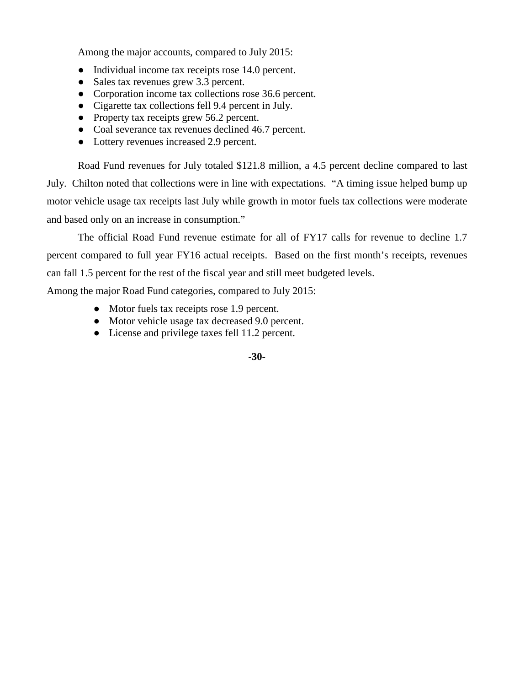Among the major accounts, compared to July 2015:

- Individual income tax receipts rose 14.0 percent.
- Sales tax revenues grew 3.3 percent.
- Corporation income tax collections rose 36.6 percent.
- Cigarette tax collections fell 9.4 percent in July.
- Property tax receipts grew 56.2 percent.
- Coal severance tax revenues declined 46.7 percent.
- Lottery revenues increased 2.9 percent.

Road Fund revenues for July totaled \$121.8 million, a 4.5 percent decline compared to last July. Chilton noted that collections were in line with expectations. "A timing issue helped bump up motor vehicle usage tax receipts last July while growth in motor fuels tax collections were moderate and based only on an increase in consumption."

The official Road Fund revenue estimate for all of FY17 calls for revenue to decline 1.7 percent compared to full year FY16 actual receipts. Based on the first month's receipts, revenues can fall 1.5 percent for the rest of the fiscal year and still meet budgeted levels.

Among the major Road Fund categories, compared to July 2015:

- Motor fuels tax receipts rose 1.9 percent.
- Motor vehicle usage tax decreased 9.0 percent.
- License and privilege taxes fell 11.2 percent.

## **-30-**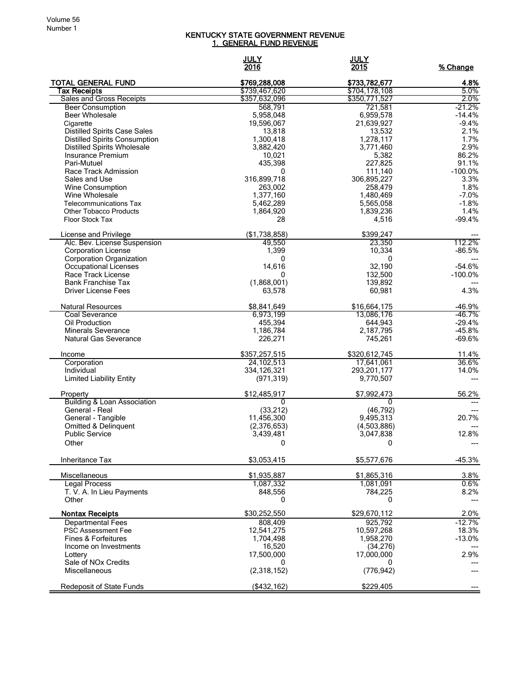## KENTUCKY STATE GOVERNMENT REVENUE <u>1. GENERAL FUND REVENUE</u>

|                                                       | <b>JULY</b><br>2016            | <u>JULY</u><br>2015            | % Change             |
|-------------------------------------------------------|--------------------------------|--------------------------------|----------------------|
| <b>TOTAL GENERAL FUND</b>                             | \$769,288,008                  | \$733,782,677                  | 4.8%                 |
| Tax Receipts<br><b>Sales and Gross Receipts</b>       | \$739,467,620<br>\$357,632,096 | \$704,178,108<br>\$350,771,527 | 5.0%<br>2.0%         |
| <b>Beer Consumption</b>                               | 568,791                        | 721,581                        | $-21.2%$             |
| <b>Beer Wholesale</b>                                 | 5,958,048                      | 6,959,578                      | $-14.4%$             |
| Cigarette                                             | 19,596,067                     | 21,639,927                     | $-9.4%$              |
| <b>Distilled Spirits Case Sales</b>                   | 13,818                         | 13,532                         | 2.1%                 |
| <b>Distilled Spirits Consumption</b>                  | 1,300,418                      | 1,278,117                      | 1.7%                 |
| <b>Distilled Spirits Wholesale</b>                    | 3,882,420                      | 3,771,460                      | 2.9%                 |
| Insurance Premium<br>Pari-Mutuel                      | 10,021<br>435,398              | 5,382<br>227,825               | 86.2%<br>91.1%       |
| Race Track Admission                                  | 0                              | 111,140                        | $-100.0%$            |
| Sales and Use                                         | 316,899,718                    | 306,895,227                    | 3.3%                 |
| Wine Consumption                                      | 263,002                        | 258,479                        | 1.8%                 |
| Wine Wholesale                                        | 1,377,160                      | 1,480,469                      | $-7.0%$              |
| <b>Telecommunications Tax</b>                         | 5,462,289                      | 5,565,058                      | $-1.8%$              |
| <b>Other Tobacco Products</b>                         | 1,864,920                      | 1,839,236                      | 1.4%                 |
| <b>Floor Stock Tax</b>                                | 28                             | 4,516                          | $-99.4%$             |
| License and Privilege<br>Alc. Bev. License Suspension | (\$1,738,858)<br>49,550        | \$399,247<br>23,350            | 112.2%               |
| <b>Corporation License</b>                            | 1,399                          | 10,334                         | $-86.5%$             |
| <b>Corporation Organization</b>                       | 0                              | 0                              |                      |
| Occupational Licenses                                 | 14.616                         | 32,190                         | $-54.6%$             |
| Race Track License                                    | 0                              | 132,500                        | $-100.0\%$           |
| <b>Bank Franchise Tax</b>                             | (1,868,001)                    | 139,892                        |                      |
| <b>Driver License Fees</b>                            | 63,578                         | 60,981                         | 4.3%                 |
| <b>Natural Resources</b>                              | \$8,841,649                    | \$16,664,175                   | $-46.9%$             |
| Coal Severance                                        | 6,973,199                      | 13,086,176                     | -46.7%               |
| Oil Production<br><b>Minerals Severance</b>           | 455,394<br>1,186,784           | 644,943<br>2,187,795           | $-29.4%$<br>$-45.8%$ |
| <b>Natural Gas Severance</b>                          | 226,271                        | 745,261                        | $-69.6%$             |
| Income                                                | \$357,257,515                  | \$320,612,745                  | 11.4%                |
| Corporation                                           | 24, 102, 513                   | 17,641,061                     | 36.6%                |
| Individual                                            | 334,126,321                    | 293,201,177                    | 14.0%                |
| <b>Limited Liability Entity</b>                       | (971, 319)                     | 9,770,507                      |                      |
| Property                                              | \$12,485,917                   | \$7,992,473                    | 56.2%                |
| <b>Building &amp; Loan Association</b>                | $\Omega$                       | 0                              |                      |
| General - Real<br>General - Tangible                  | (33, 212)<br>11,456,300        | (46, 792)<br>9,495,313         | 20.7%                |
| Omitted & Delinquent                                  | (2,376,653)                    | (4,503,886)                    |                      |
| <b>Public Service</b>                                 | 3,439,481                      | 3,047,838                      | 12.8%                |
| Other                                                 | υ                              | υ                              | $---$                |
| Inheritance Tax                                       | \$3,053,415                    | \$5,577,676                    | $-45.3%$             |
| <b>Miscellaneous</b>                                  | \$1,935,887                    | \$1,865,316                    | 3.8%                 |
| <b>Legal Process</b>                                  | 1,087,332                      | 1,081,091                      | 0.6%                 |
| T. V. A. In Lieu Payments                             | 848,556                        | 784,225                        | 8.2%                 |
| Other                                                 | 0                              | 0                              |                      |
| <b>Nontax Receipts</b><br><b>Departmental Fees</b>    | \$30,252,550<br>808,409        | \$29,670,112<br>925,792        | 2.0%<br>$-12.7%$     |
| <b>PSC Assessment Fee</b>                             | 12,541,275                     | 10,597,268                     | 18.3%                |
| <b>Fines &amp; Forfeitures</b>                        | 1,704,498                      | 1,958,270                      | $-13.0%$             |
| Income on Investments                                 | 16,520                         | (34, 276)                      |                      |
| Lottery                                               | 17,500,000                     | 17,000,000                     | 2.9%                 |
| Sale of NO <sub>x</sub> Credits<br>Miscellaneous      | 0<br>(2,318,152)               | 0<br>(776, 942)                |                      |
| Redeposit of State Funds                              | (\$432,162)                    | \$229,405                      |                      |